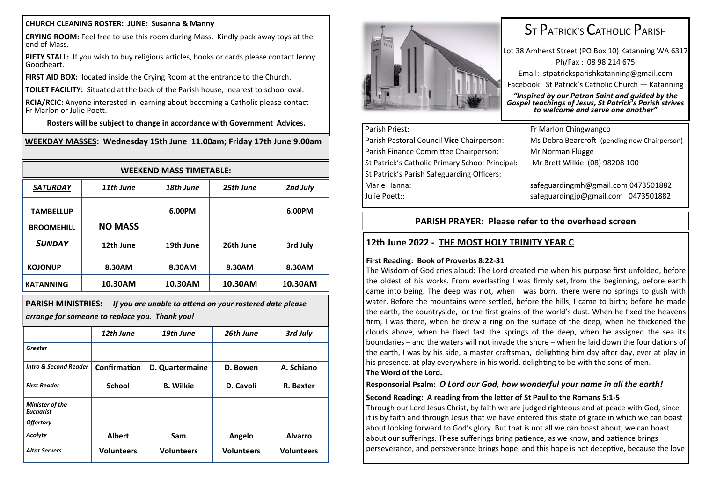#### **CHURCH CLEANING ROSTER: JUNE: Susanna & Manny**

**CRYING ROOM:** Feel free to use this room during Mass. Kindly pack away toys at the end of Mass.

**PIETY STALL:** If you wish to buy religious articles, books or cards please contact Jenny Goodheart.

**FIRST AID BOX:** located inside the Crying Room at the entrance to the Church.

**TOILET FACILITY:** Situated at the back of the Parish house; nearest to school oval.

**RCIA/RCIC:** Anyone interested in learning about becoming a Catholic please contact Fr Marlon or Julie Poett.

**Rosters will be subject to change in accordance with Government Advices.**

#### **WEEKDAY MASSES: Wednesday 15th June 11.00am; Friday 17th June 9.00am**

| <b>WEEKEND MASS TIMETABLE:</b> |                |           |           |          |  |
|--------------------------------|----------------|-----------|-----------|----------|--|
| <b>SATURDAY</b>                | 11th June      | 18th June | 25th June | 2nd July |  |
| <b>TAMBELLUP</b>               |                | 6.00PM    |           | 6.00PM   |  |
| <b>BROOMEHILL</b>              | <b>NO MASS</b> |           |           |          |  |
| SUNDAY                         | 12th June      | 19th June | 26th June | 3rd July |  |
| <b>KOJONUP</b>                 | 8.30AM         | 8.30AM    | 8.30AM    | 8.30AM   |  |
| <b>KATANNING</b>               | 10.30AM        | 10.30AM   | 10.30AM   | 10.30AM  |  |

**PARISH MINISTRIES:** *If you are unable to attend on your rostered date please arrange for someone to replace you. Thank you!*

|                                            | 12th June         | 19th June         | 26th June         | 3rd July          |
|--------------------------------------------|-------------------|-------------------|-------------------|-------------------|
| Greeter                                    |                   |                   |                   |                   |
| <b>Intro &amp; Second Reader</b>           | Confirmation      | D. Quartermaine   | D. Bowen          | A. Schiano        |
| <b>First Reader</b>                        | <b>School</b>     | <b>B.</b> Wilkie  | D. Cavoli         | R. Baxter         |
| <b>Minister of the</b><br><b>Eucharist</b> |                   |                   |                   |                   |
| <b>Offertory</b>                           |                   |                   |                   |                   |
| Acolyte                                    | <b>Albert</b>     | Sam               | Angelo            | <b>Alvarro</b>    |
| <b>Altar Servers</b>                       | <b>Volunteers</b> | <b>Volunteers</b> | <b>Volunteers</b> | <b>Volunteers</b> |



## ST PATRICK'S CATHOLIC PARISH

Lot 38 Amherst Street (PO Box 10) Katanning WA 6317 Ph/Fax : 08 98 214 675 Email: stpatricksparishkatanning@gmail.com Facebook: St Patrick's Catholic Church — Katanning

*"Inspired by our Patron Saint and guided by the Gospel teachings of Jesus, St Patrick's Parish strives to welcome and serve one another"*

# Parish Priest: Fr Marlon Chingwangco

Parish Finance Committee Chairperson: Mr Norman Flugge St Patrick's Catholic Primary School Principal: Mr Brett Wilkie (08) 98208 100 St Patrick's Parish Safeguarding Officers: Marie Hanna: safeguardingmh@gmail.com 0473501882

Parish Pastoral Council **Vice** Chairperson: Ms Debra Bearcroft (pending new Chairperson)

Julie Poett:: safeguardingjp@gmail.com 0473501882

#### **PARISH PRAYER: Please refer to the overhead screen**

#### **12th June 2022 - THE MOST HOLY TRINITY YEAR C**

#### **First Reading: Book of Proverbs 8:22-31**

The Wisdom of God cries aloud: The Lord created me when his purpose first unfolded, before the oldest of his works. From everlasting I was firmly set, from the beginning, before earth came into being. The deep was not, when I was born, there were no springs to gush with water. Before the mountains were settled, before the hills, I came to birth; before he made the earth, the countryside, or the first grains of the world's dust. When he fixed the heavens firm, I was there, when he drew a ring on the surface of the deep, when he thickened the clouds above, when he fixed fast the springs of the deep, when he assigned the sea its boundaries – and the waters will not invade the shore – when he laid down the foundations of the earth, I was by his side, a master craftsman, delighting him day after day, ever at play in his presence, at play everywhere in his world, delighting to be with the sons of men. **The Word of the Lord.**

#### **Responsorial Psalm:** *O Lord our God, how wonderful your name in all the earth!*

#### **Second Reading: A reading from the letter of St Paul to the Romans 5:1-5**

Through our Lord Jesus Christ, by faith we are judged righteous and at peace with God, since it is by faith and through Jesus that we have entered this state of grace in which we can boast about looking forward to God's glory. But that is not all we can boast about; we can boast about our sufferings. These sufferings bring patience, as we know, and patience brings perseverance, and perseverance brings hope, and this hope is not deceptive, because the love